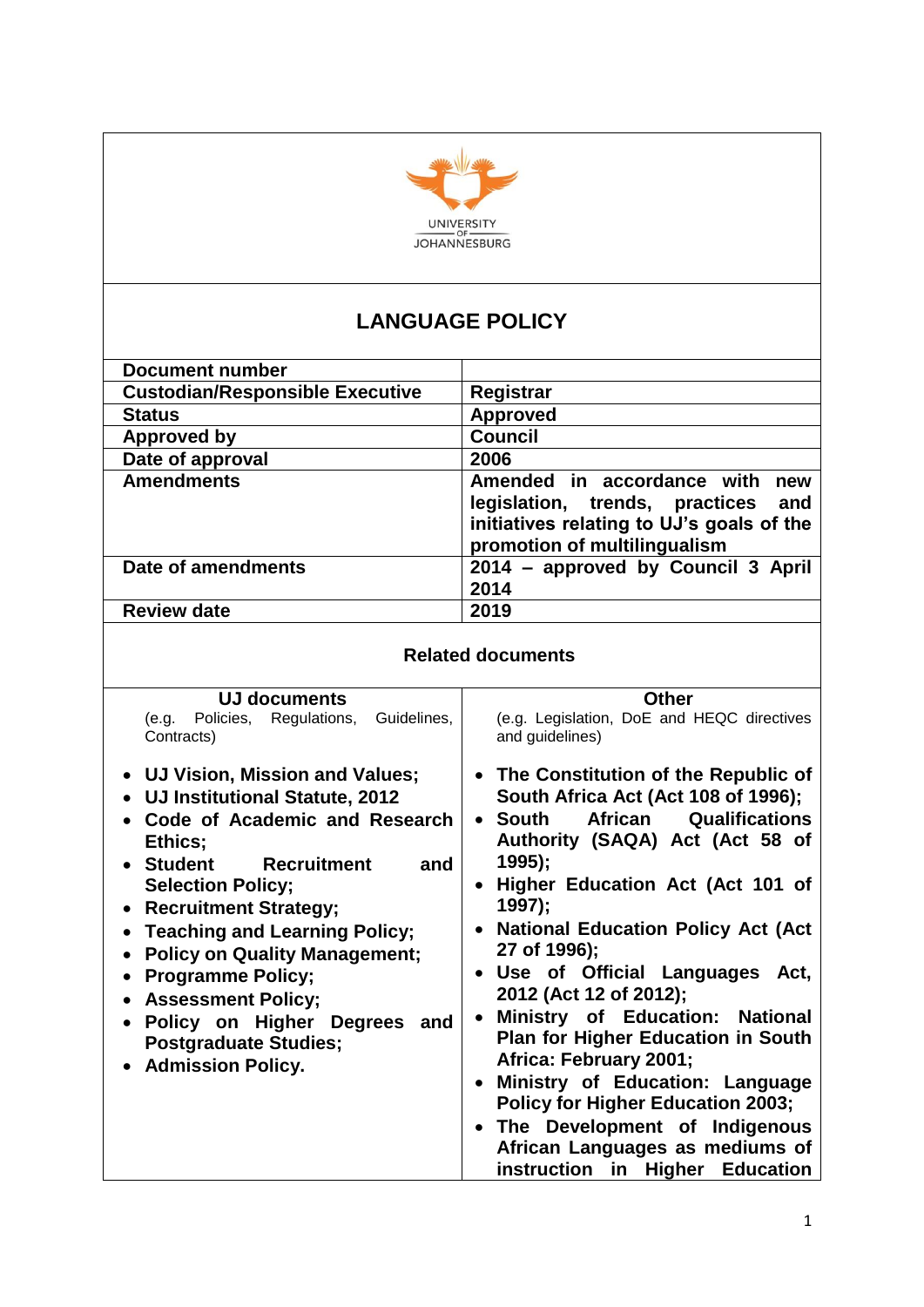

# **LANGUAGE POLICY**

| <b>Document number</b>                 |                                                                                                                                                         |
|----------------------------------------|---------------------------------------------------------------------------------------------------------------------------------------------------------|
| <b>Custodian/Responsible Executive</b> | Registrar                                                                                                                                               |
| <b>Status</b>                          | <b>Approved</b>                                                                                                                                         |
| <b>Approved by</b>                     | <b>Council</b>                                                                                                                                          |
| Date of approval                       | 2006                                                                                                                                                    |
| <b>Amendments</b>                      | Amended in accordance with<br>new<br>legislation, trends, practices<br>and<br>initiatives relating to UJ's goals of the<br>promotion of multilingualism |
| Date of amendments                     | 2014 - approved by Council 3 April<br>2014                                                                                                              |
| <b>Review date</b>                     | 2019                                                                                                                                                    |

|  | <b>Related documents</b> |
|--|--------------------------|
|--|--------------------------|

| UJ documents<br>(e.g. Policies, Regulations,<br>Guidelines,                                                                                                                                                                                                                                                                                                                                                                                              | <b>Other</b><br>(e.g. Legislation, DoE and HEQC directives                                                                                                                                                                                                                                                                                                                                                                                                                                                                                                                                                                                                                                   |
|----------------------------------------------------------------------------------------------------------------------------------------------------------------------------------------------------------------------------------------------------------------------------------------------------------------------------------------------------------------------------------------------------------------------------------------------------------|----------------------------------------------------------------------------------------------------------------------------------------------------------------------------------------------------------------------------------------------------------------------------------------------------------------------------------------------------------------------------------------------------------------------------------------------------------------------------------------------------------------------------------------------------------------------------------------------------------------------------------------------------------------------------------------------|
| Contracts)                                                                                                                                                                                                                                                                                                                                                                                                                                               | and guidelines)                                                                                                                                                                                                                                                                                                                                                                                                                                                                                                                                                                                                                                                                              |
| • UJ Vision, Mission and Values;<br>UJ Institutional Statute, 2012<br>Code of Academic and Research<br>Ethics;<br>• Student<br>Recruitment<br>and<br><b>Selection Policy;</b><br>• Recruitment Strategy;<br><b>Teaching and Learning Policy;</b><br>$\bullet$<br><b>Policy on Quality Management;</b><br><b>Programme Policy;</b><br><b>Assessment Policy;</b><br>Policy on Higher Degrees<br>and<br><b>Postgraduate Studies;</b><br>• Admission Policy. | • The Constitution of the Republic of<br>South Africa Act (Act 108 of 1996);<br><b>African</b><br><b>Qualifications</b><br>• South<br>Authority (SAQA) Act (Act 58 of<br>$1995$ ;<br>Higher Education Act (Act 101 of<br>$\bullet$<br>1997);<br>• National Education Policy Act (Act<br>27 of 1996);<br>• Use of Official Languages Act,<br>2012 (Act 12 of 2012);<br>Ministry of Education: National<br>$\bullet$<br><b>Plan for Higher Education in South</b><br>Africa: February 2001;<br>Ministry of Education: Language<br><b>Policy for Higher Education 2003;</b><br>The Development of Indigenous<br>$\bullet$<br>African Languages as mediums of<br>instruction in Higher Education |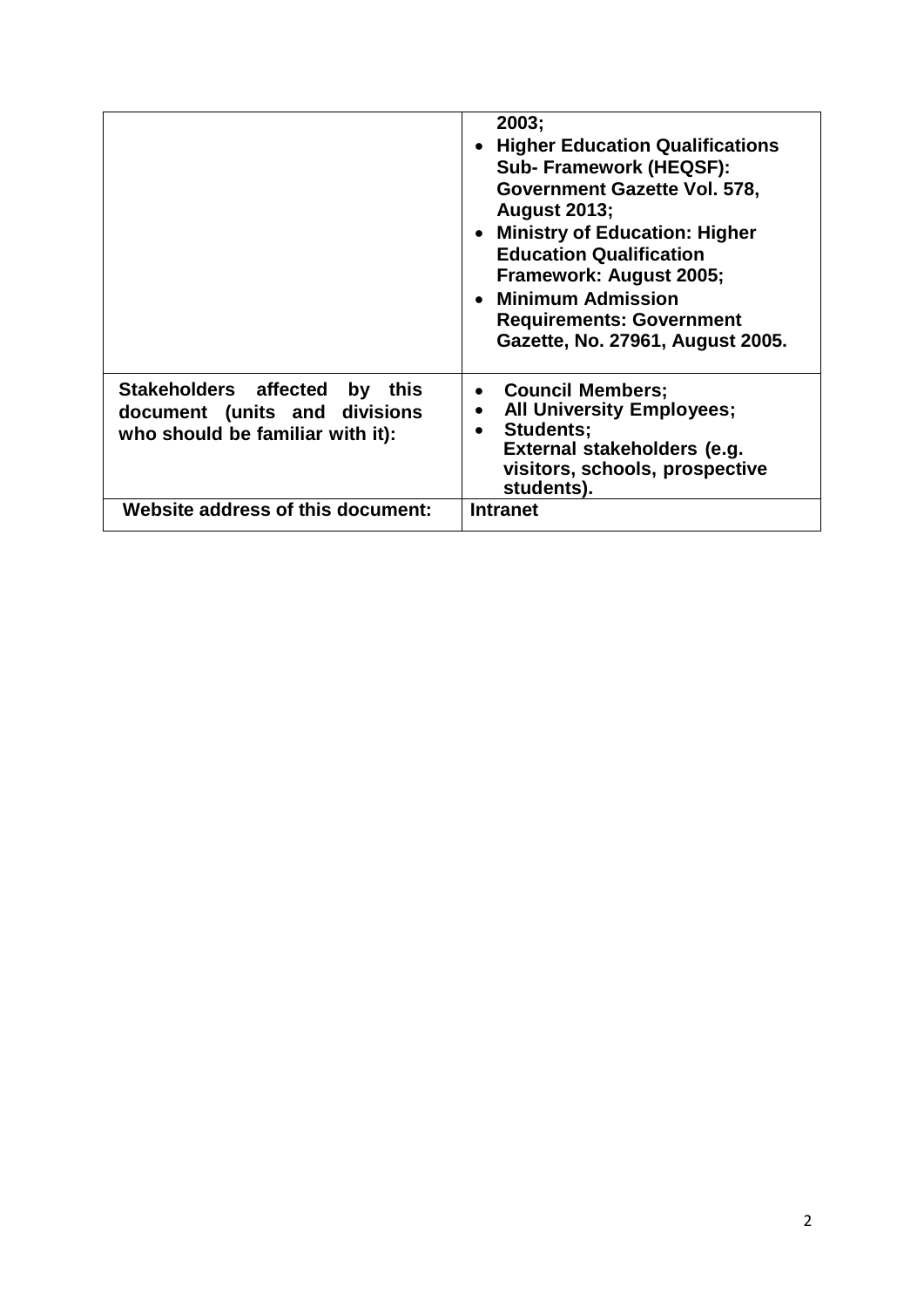|                                                                                                       | 2003;<br><b>Higher Education Qualifications</b><br>Sub-Framework (HEQSF):<br>Government Gazette Vol. 578,<br><b>August 2013;</b><br>• Ministry of Education: Higher<br><b>Education Qualification</b><br>Framework: August 2005;<br>• Minimum Admission<br><b>Requirements: Government</b><br>Gazette, No. 27961, August 2005. |
|-------------------------------------------------------------------------------------------------------|--------------------------------------------------------------------------------------------------------------------------------------------------------------------------------------------------------------------------------------------------------------------------------------------------------------------------------|
| Stakeholders affected by<br>this<br>document (units and divisions<br>who should be familiar with it): | • Council Members;<br><b>All University Employees;</b><br>$\bullet$<br>Students;<br>External stakeholders (e.g.<br>visitors, schools, prospective<br>students).                                                                                                                                                                |
| Website address of this document:                                                                     | <b>Intranet</b>                                                                                                                                                                                                                                                                                                                |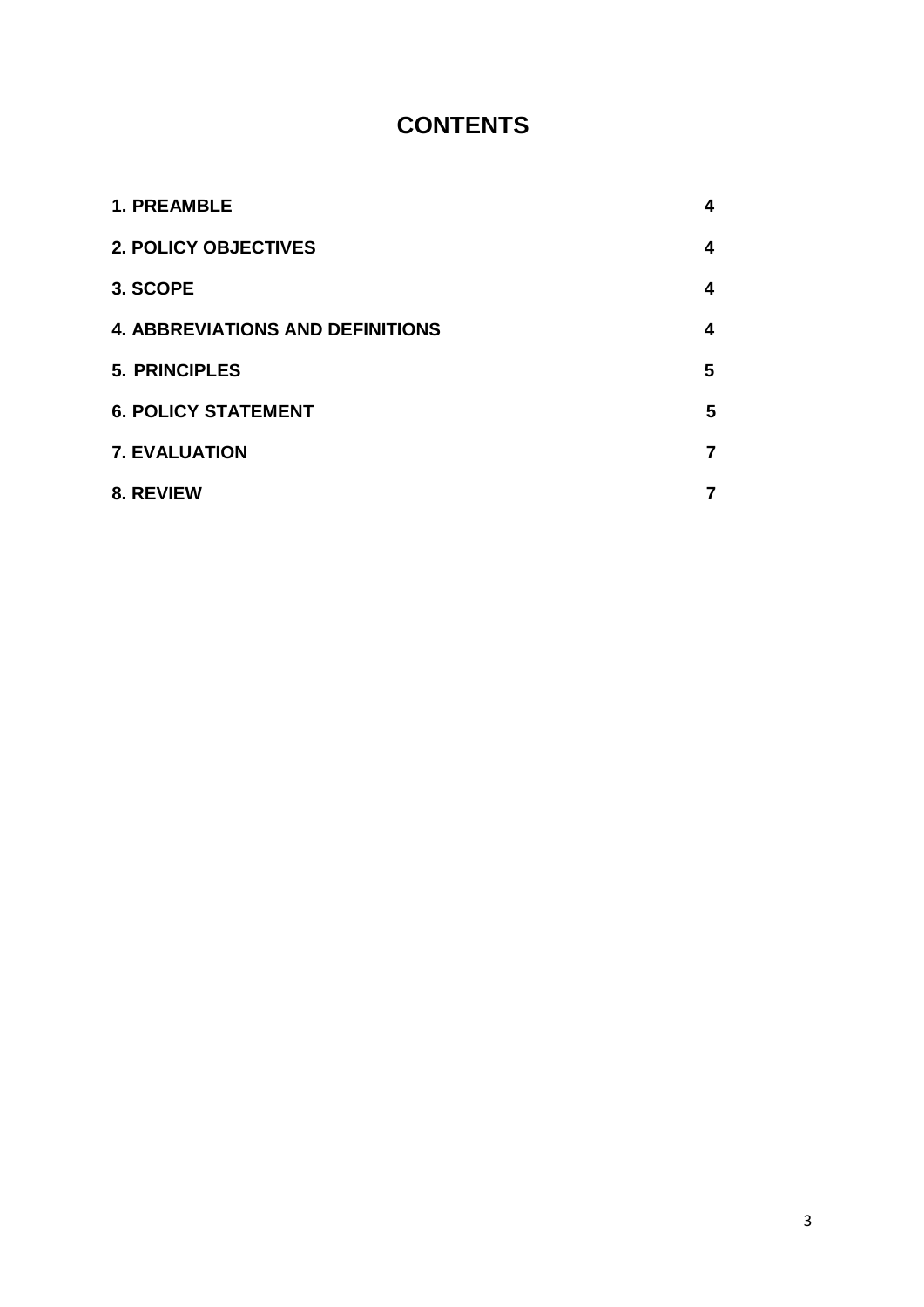# **CONTENTS**

| <b>1. PREAMBLE</b>                      | 4                       |
|-----------------------------------------|-------------------------|
| <b>2. POLICY OBJECTIVES</b>             | $\overline{\mathbf{4}}$ |
| 3. SCOPE                                | 4                       |
| <b>4. ABBREVIATIONS AND DEFINITIONS</b> | 4                       |
| <b>5. PRINCIPLES</b>                    | 5                       |
| <b>6. POLICY STATEMENT</b>              | 5                       |
| <b>7. EVALUATION</b>                    | $\overline{7}$          |
| 8. REVIEW                               | 7                       |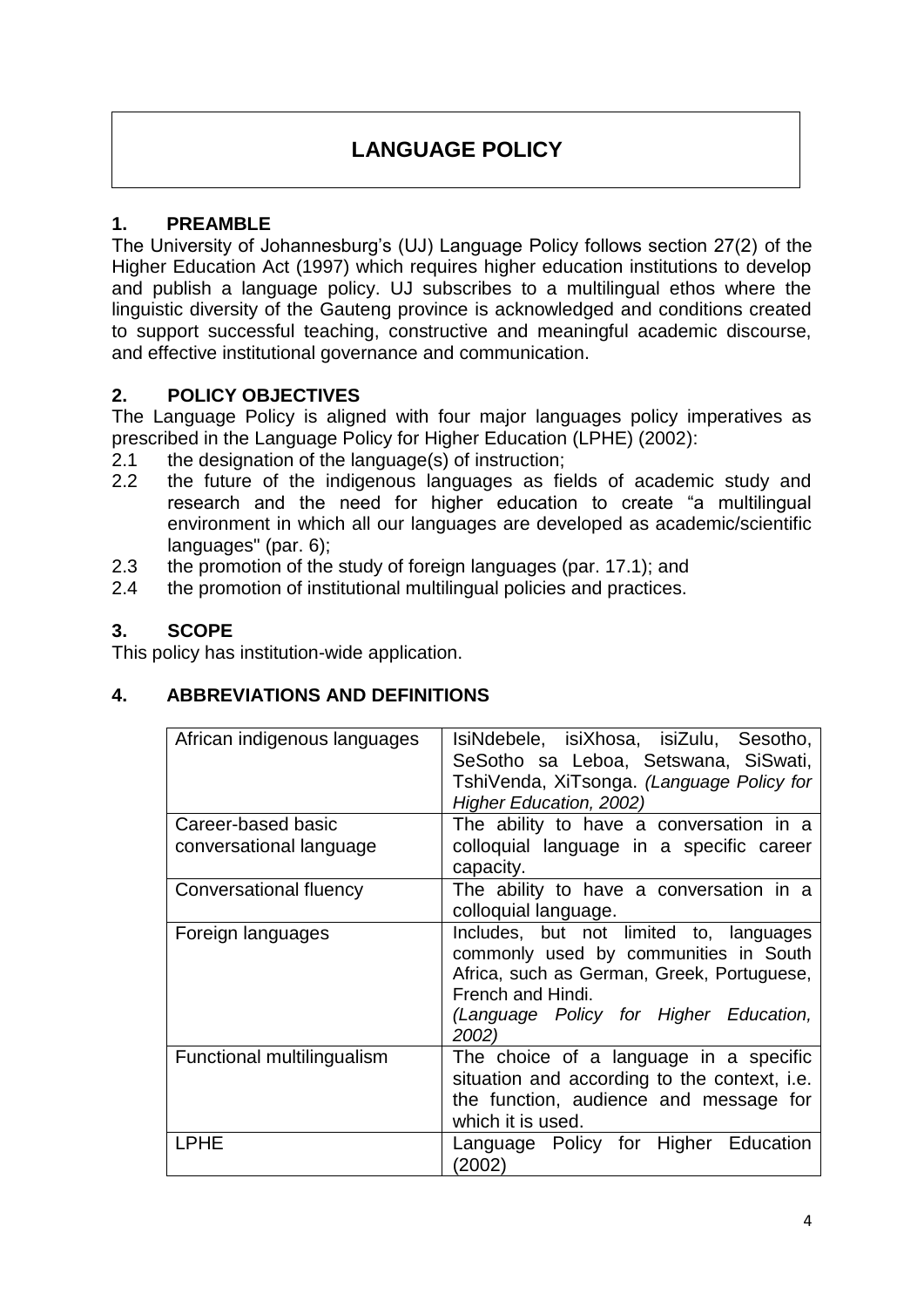## **LANGUAGE POLICY**

## **1. PREAMBLE**

The University of Johannesburg's (UJ) Language Policy follows section 27(2) of the Higher Education Act (1997) which requires higher education institutions to develop and publish a language policy. UJ subscribes to a multilingual ethos where the linguistic diversity of the Gauteng province is acknowledged and conditions created to support successful teaching, constructive and meaningful academic discourse, and effective institutional governance and communication.

### **2. POLICY OBJECTIVES**

The Language Policy is aligned with four major languages policy imperatives as prescribed in the Language Policy for Higher Education (LPHE) (2002):

- 2.1 the designation of the language(s) of instruction;
- 2.2 the future of the indigenous languages as fields of academic study and research and the need for higher education to create "a multilingual environment in which all our languages are developed as academic/scientific languages" (par. 6);
- 2.3 the promotion of the study of foreign languages (par. 17.1); and
- 2.4 the promotion of institutional multilingual policies and practices.

#### **3. SCOPE**

This policy has institution-wide application.

#### **4. ABBREVIATIONS AND DEFINITIONS**

| African indigenous languages | IsiNdebele, isiXhosa, isiZulu, Sesotho,<br>SeSotho sa Leboa, Setswana, SiSwati,<br>TshiVenda, XiTsonga. (Language Policy for<br>Higher Education, 2002)                                                |
|------------------------------|--------------------------------------------------------------------------------------------------------------------------------------------------------------------------------------------------------|
| Career-based basic           | The ability to have a conversation in a                                                                                                                                                                |
| conversational language      | colloquial language in a specific career                                                                                                                                                               |
|                              | capacity.                                                                                                                                                                                              |
| Conversational fluency       | The ability to have a conversation in a<br>colloquial language.                                                                                                                                        |
| Foreign languages            | Includes, but not limited to, languages<br>commonly used by communities in South<br>Africa, such as German, Greek, Portuguese,<br>French and Hindi.<br>(Language Policy for Higher Education,<br>2002) |
| Functional multilingualism   | The choice of a language in a specific<br>situation and according to the context, i.e.<br>the function, audience and message for<br>which it is used.                                                  |
| <b>LPHE</b>                  | Language Policy for Higher Education<br>(2002)                                                                                                                                                         |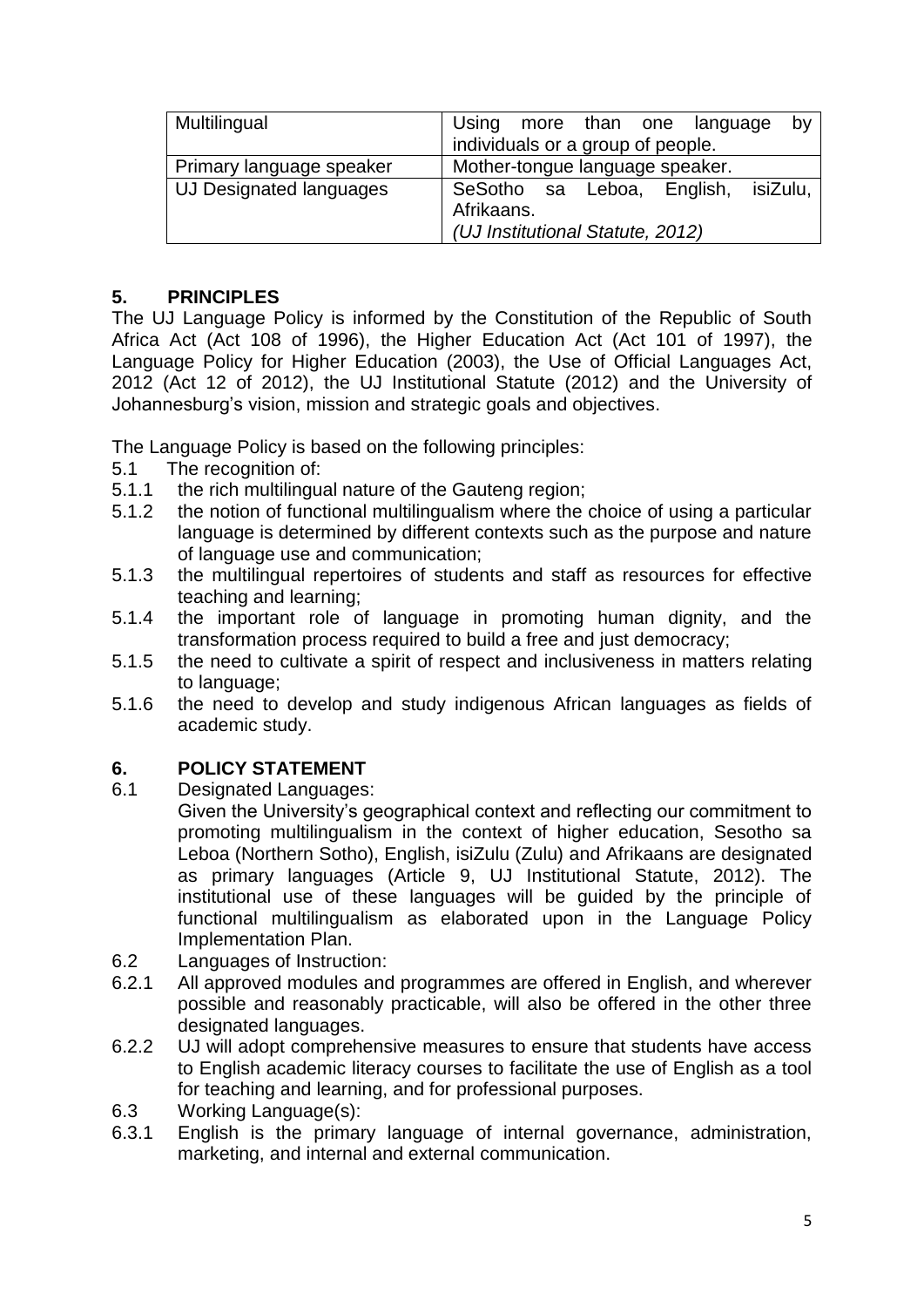| Multilingual             | Using more than one language<br>by                |
|--------------------------|---------------------------------------------------|
|                          | individuals or a group of people.                 |
| Primary language speaker | Mother-tongue language speaker.                   |
| UJ Designated languages  | SeSotho sa Leboa, English, isiZulu,<br>Afrikaans. |
|                          | (UJ Institutional Statute, 2012)                  |

### **5. PRINCIPLES**

The UJ Language Policy is informed by the Constitution of the Republic of South Africa Act (Act 108 of 1996), the Higher Education Act (Act 101 of 1997), the Language Policy for Higher Education (2003), the Use of Official Languages Act, 2012 (Act 12 of 2012), the UJ Institutional Statute (2012) and the University of Johannesburg's vision, mission and strategic goals and objectives.

The Language Policy is based on the following principles:

- 5.1 The recognition of:
- 5.1.1 the rich multilingual nature of the Gauteng region;
- 5.1.2 the notion of functional multilingualism where the choice of using a particular language is determined by different contexts such as the purpose and nature of language use and communication;
- 5.1.3 the multilingual repertoires of students and staff as resources for effective teaching and learning;
- 5.1.4 the important role of language in promoting human dignity, and the transformation process required to build a free and just democracy;
- 5.1.5 the need to cultivate a spirit of respect and inclusiveness in matters relating to language;
- 5.1.6 the need to develop and study indigenous African languages as fields of academic study.

## **6. POLICY STATEMENT**

6.1 Designated Languages:

Given the University's geographical context and reflecting our commitment to promoting multilingualism in the context of higher education, Sesotho sa Leboa (Northern Sotho), English, isiZulu (Zulu) and Afrikaans are designated as primary languages (Article 9, UJ Institutional Statute, 2012). The institutional use of these languages will be guided by the principle of functional multilingualism as elaborated upon in the Language Policy Implementation Plan.

- 6.2 Languages of Instruction:
- 6.2.1 All approved modules and programmes are offered in English, and wherever possible and reasonably practicable, will also be offered in the other three designated languages.
- 6.2.2 UJ will adopt comprehensive measures to ensure that students have access to English academic literacy courses to facilitate the use of English as a tool for teaching and learning, and for professional purposes.
- 6.3 Working Language(s):
- 6.3.1 English is the primary language of internal governance, administration, marketing, and internal and external communication.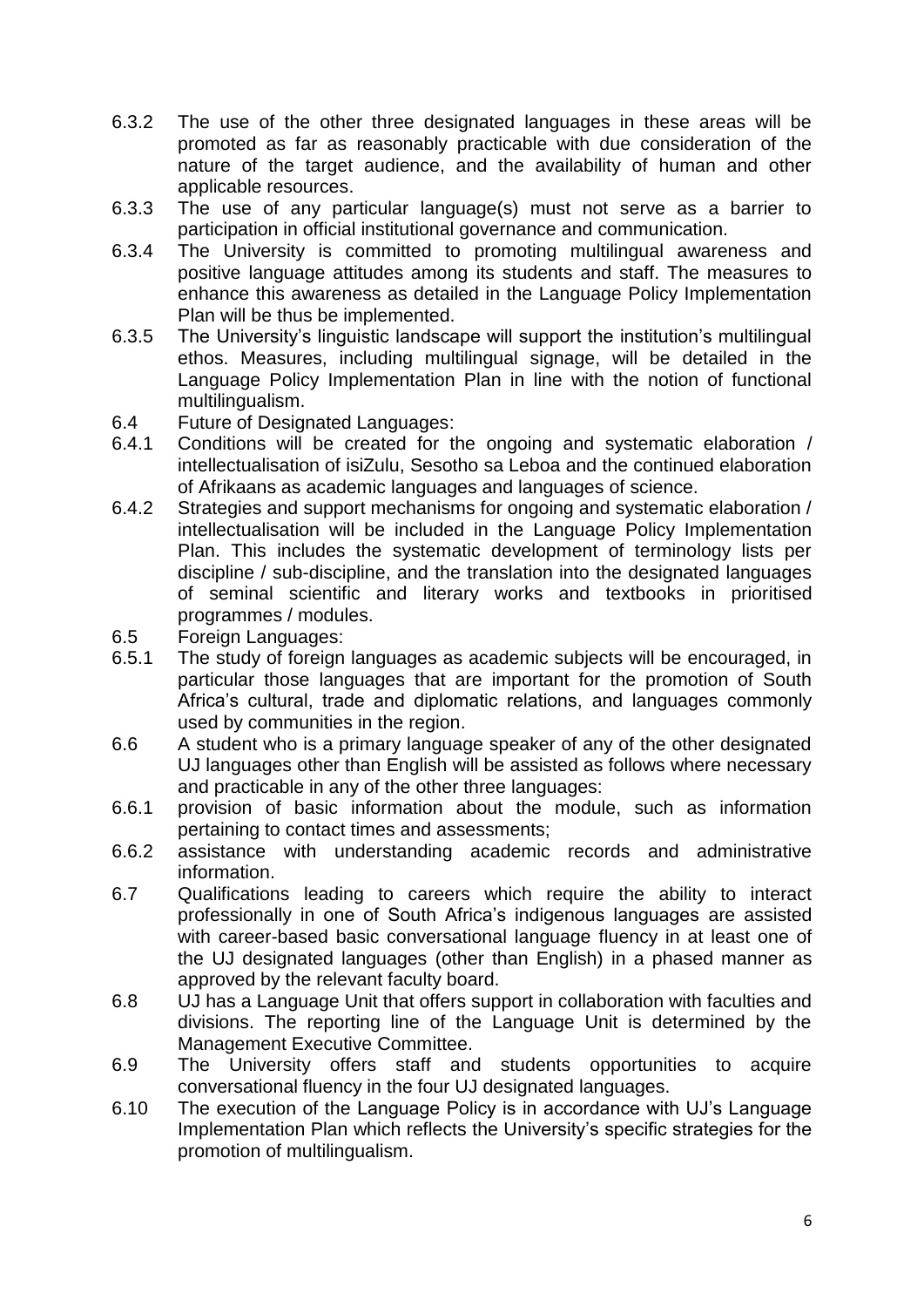- 6.3.2 The use of the other three designated languages in these areas will be promoted as far as reasonably practicable with due consideration of the nature of the target audience, and the availability of human and other applicable resources.
- 6.3.3 The use of any particular language(s) must not serve as a barrier to participation in official institutional governance and communication.
- 6.3.4 The University is committed to promoting multilingual awareness and positive language attitudes among its students and staff. The measures to enhance this awareness as detailed in the Language Policy Implementation Plan will be thus be implemented.
- 6.3.5 The University's linguistic landscape will support the institution's multilingual ethos. Measures, including multilingual signage, will be detailed in the Language Policy Implementation Plan in line with the notion of functional multilingualism.
- 6.4 Future of Designated Languages:
- 6.4.1 Conditions will be created for the ongoing and systematic elaboration / intellectualisation of isiZulu, Sesotho sa Leboa and the continued elaboration of Afrikaans as academic languages and languages of science.
- 6.4.2 Strategies and support mechanisms for ongoing and systematic elaboration / intellectualisation will be included in the Language Policy Implementation Plan. This includes the systematic development of terminology lists per discipline / sub-discipline, and the translation into the designated languages of seminal scientific and literary works and textbooks in prioritised programmes / modules.
- 6.5 Foreign Languages:
- 6.5.1 The study of foreign languages as academic subjects will be encouraged, in particular those languages that are important for the promotion of South Africa's cultural, trade and diplomatic relations, and languages commonly used by communities in the region.
- 6.6 A student who is a primary language speaker of any of the other designated UJ languages other than English will be assisted as follows where necessary and practicable in any of the other three languages:
- 6.6.1 provision of basic information about the module, such as information pertaining to contact times and assessments;
- 6.6.2 assistance with understanding academic records and administrative information.
- 6.7 Qualifications leading to careers which require the ability to interact professionally in one of South Africa's indigenous languages are assisted with career-based basic conversational language fluency in at least one of the UJ designated languages (other than English) in a phased manner as approved by the relevant faculty board.
- 6.8 UJ has a Language Unit that offers support in collaboration with faculties and divisions. The reporting line of the Language Unit is determined by the Management Executive Committee.
- 6.9 The University offers staff and students opportunities to acquire conversational fluency in the four UJ designated languages.
- 6.10 The execution of the Language Policy is in accordance with UJ's Language Implementation Plan which reflects the University's specific strategies for the promotion of multilingualism.